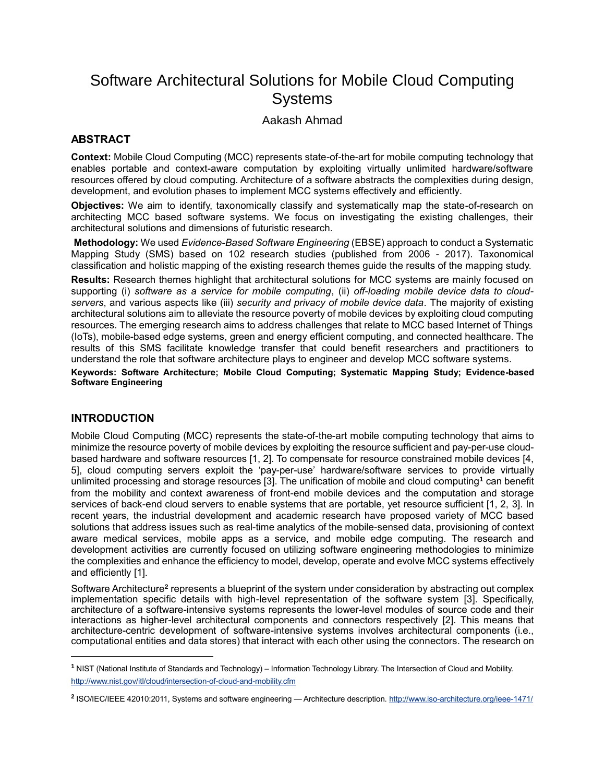# Software Architectural Solutions for Mobile Cloud Computing Systems

## Aakash Ahmad

### **ABSTRACT**

**Context:** Mobile Cloud Computing (MCC) represents state-of-the-art for mobile computing technology that enables portable and context-aware computation by exploiting virtually unlimited hardware/software resources offered by cloud computing. Architecture of a software abstracts the complexities during design, development, and evolution phases to implement MCC systems effectively and efficiently.

**Objectives:** We aim to identify, taxonomically classify and systematically map the state-of-research on architecting MCC based software systems. We focus on investigating the existing challenges, their architectural solutions and dimensions of futuristic research.

**Methodology:** We used *Evidence-Based Software Engineering* (EBSE) approach to conduct a Systematic Mapping Study (SMS) based on 102 research studies (published from 2006 - 2017). Taxonomical classification and holistic mapping of the existing research themes guide the results of the mapping study.

**Results:** Research themes highlight that architectural solutions for MCC systems are mainly focused on supporting (i) *software as a service for mobile computing*, (ii) *off-loading mobile device data to cloudservers*, and various aspects like (iii) *security and privacy of mobile device data*. The majority of existing architectural solutions aim to alleviate the resource poverty of mobile devices by exploiting cloud computing resources. The emerging research aims to address challenges that relate to MCC based Internet of Things (IoTs), mobile-based edge systems, green and energy efficient computing, and connected healthcare. The results of this SMS facilitate knowledge transfer that could benefit researchers and practitioners to understand the role that software architecture plays to engineer and develop MCC software systems.

**Keywords: Software Architecture; Mobile Cloud Computing; Systematic Mapping Study; Evidence-based Software Engineering**

### **INTRODUCTION**

 $\overline{a}$ 

Mobile Cloud Computing (MCC) represents the state-of-the-art mobile computing technology that aims to minimize the resource poverty of mobile devices by exploiting the resource sufficient and pay-per-use cloudbased hardware and software resources [1, 2]. To compensate for resource constrained mobile devices [4, 5], cloud computing servers exploit the 'pay-per-use' hardware/software services to provide virtually unlimited processing and storage resources [3]. The unification of mobile and cloud computing**<sup>1</sup>** can benefit from the mobility and context awareness of front-end mobile devices and the computation and storage services of back-end cloud servers to enable systems that are portable, yet resource sufficient [1, 2, 3]. In recent years, the industrial development and academic research have proposed variety of MCC based solutions that address issues such as real-time analytics of the mobile-sensed data, provisioning of context aware medical services, mobile apps as a service, and mobile edge computing. The research and development activities are currently focused on utilizing software engineering methodologies to minimize the complexities and enhance the efficiency to model, develop, operate and evolve MCC systems effectively and efficiently [1].

Software Architecture<sup>2</sup> represents a blueprint of the system under consideration by abstracting out complex implementation specific details with high-level representation of the software system [3]. Specifically, architecture of a software-intensive systems represents the lower-level modules of source code and their interactions as higher-level architectural components and connectors respectively [2]. This means that architecture-centric development of software-intensive systems involves architectural components (i.e., computational entities and data stores) that interact with each other using the connectors. The research on

**<sup>1</sup>** NIST (National Institute of Standards and Technology) – Information Technology Library. The Intersection of Cloud and Mobility. <http://www.nist.gov/itl/cloud/intersection-of-cloud-and-mobility.cfm>

**<sup>2</sup>** ISO/IEC/IEEE 42010:2011, Systems and software engineering — Architecture description. <http://www.iso-architecture.org/ieee-1471/>